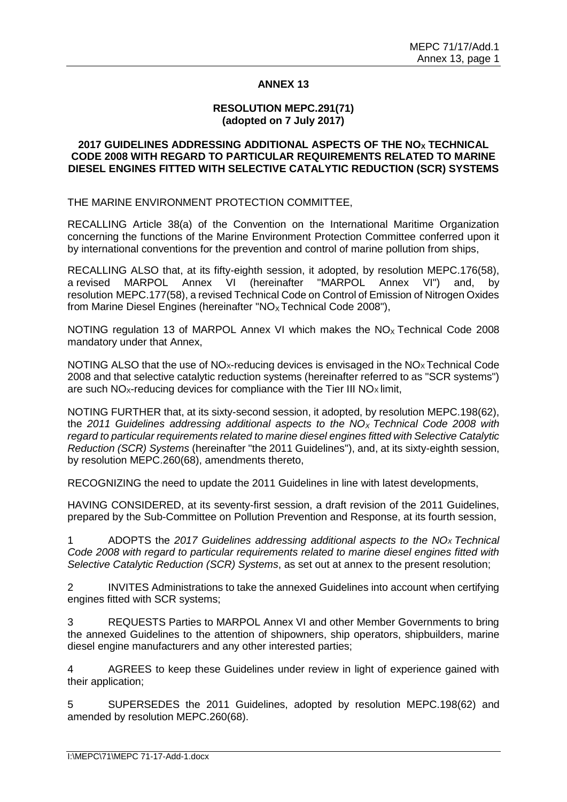### **ANNEX 13**

### **RESOLUTION MEPC.291(71) (adopted on 7 July 2017)**

### **2017 GUIDELINES ADDRESSING ADDITIONAL ASPECTS OF THE NO<sup>X</sup> TECHNICAL CODE 2008 WITH REGARD TO PARTICULAR REQUIREMENTS RELATED TO MARINE DIESEL ENGINES FITTED WITH SELECTIVE CATALYTIC REDUCTION (SCR) SYSTEMS**

THE MARINE ENVIRONMENT PROTECTION COMMITTEE,

RECALLING Article 38(a) of the Convention on the International Maritime Organization concerning the functions of the Marine Environment Protection Committee conferred upon it by international conventions for the prevention and control of marine pollution from ships,

RECALLING ALSO that, at its fifty-eighth session, it adopted, by resolution MEPC.176(58), a revised MARPOL Annex VI (hereinafter "MARPOL Annex VI") and, by resolution MEPC.177(58), a revised Technical Code on Control of Emission of Nitrogen Oxides from Marine Diesel Engines (hereinafter " $NO<sub>x</sub>$  Technical Code 2008"),

NOTING regulation 13 of MARPOL Annex VI which makes the  $NO<sub>x</sub>$  Technical Code 2008 mandatory under that Annex,

NOTING ALSO that the use of NO<sub>x-</sub>reducing devices is envisaged in the NO<sub>x</sub> Technical Code 2008 and that selective catalytic reduction systems (hereinafter referred to as "SCR systems") are such  $NO<sub>x</sub>$ -reducing devices for compliance with the Tier III  $NO<sub>x</sub>$  limit,

NOTING FURTHER that, at its sixty-second session, it adopted, by resolution MEPC.198(62), the *2011 Guidelines addressing additional aspects to the NO<sup>X</sup> Technical Code 2008 with regard to particular requirements related to marine diesel engines fitted with Selective Catalytic Reduction (SCR) Systems* (hereinafter "the 2011 Guidelines"), and, at its sixty-eighth session, by resolution MEPC.260(68), amendments thereto,

RECOGNIZING the need to update the 2011 Guidelines in line with latest developments,

HAVING CONSIDERED, at its seventy-first session, a draft revision of the 2011 Guidelines, prepared by the Sub-Committee on Pollution Prevention and Response, at its fourth session,

1 ADOPTS the *2017 Guidelines addressing additional aspects to the NOX Technical Code 2008 with regard to particular requirements related to marine diesel engines fitted with Selective Catalytic Reduction (SCR) Systems*, as set out at annex to the present resolution;

2 INVITES Administrations to take the annexed Guidelines into account when certifying engines fitted with SCR systems;

3 REQUESTS Parties to MARPOL Annex VI and other Member Governments to bring the annexed Guidelines to the attention of shipowners, ship operators, shipbuilders, marine diesel engine manufacturers and any other interested parties;

4 AGREES to keep these Guidelines under review in light of experience gained with their application;

5 SUPERSEDES the 2011 Guidelines, adopted by resolution MEPC.198(62) and amended by resolution MEPC.260(68).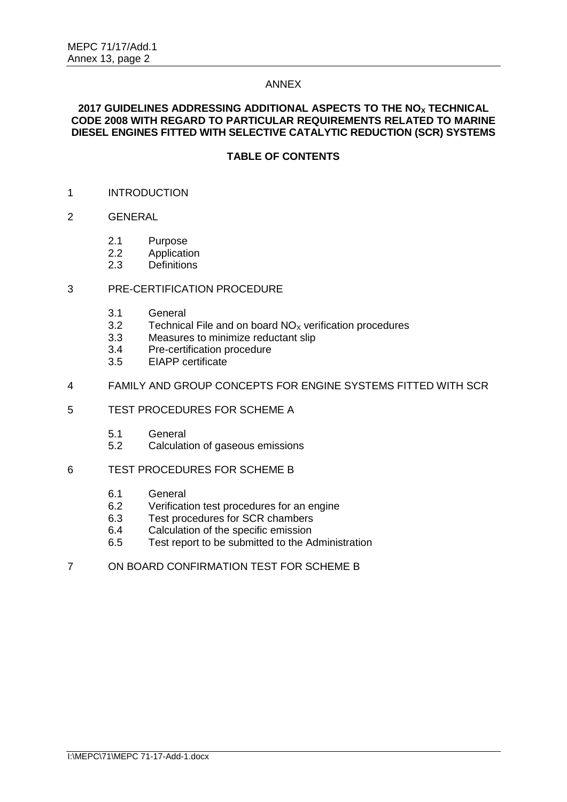### ANNEX

### **2017 GUIDELINES ADDRESSING ADDITIONAL ASPECTS TO THE NO<sup>X</sup> TECHNICAL CODE 2008 WITH REGARD TO PARTICULAR REQUIREMENTS RELATED TO MARINE DIESEL ENGINES FITTED WITH SELECTIVE CATALYTIC REDUCTION (SCR) SYSTEMS**

# **TABLE OF CONTENTS**

- 1 INTRODUCTION
- 2 GENERAL
	- 2.1 Purpose
	- 2.2 Application
	- 2.3 Definitions

### 3 PRE-CERTIFICATION PROCEDURE

- 3.1 General
- 3.2 Technical File and on board  $NO<sub>x</sub>$  verification procedures
- 3.3 Measures to minimize reductant slip
- 3.4 Pre-certification procedure
- 3.5 EIAPP certificate

### 4 FAMILY AND GROUP CONCEPTS FOR ENGINE SYSTEMS FITTED WITH SCR

#### 5 TEST PROCEDURES FOR SCHEME A

- 5.1 General
- 5.2 Calculation of gaseous emissions

### 6 TEST PROCEDURES FOR SCHEME B

- 6.1 General
- 6.2 Verification test procedures for an engine
- 6.3 Test procedures for SCR chambers
- 6.4 Calculation of the specific emission
- 6.5 Test report to be submitted to the Administration
- 7 ON BOARD CONFIRMATION TEST FOR SCHEME B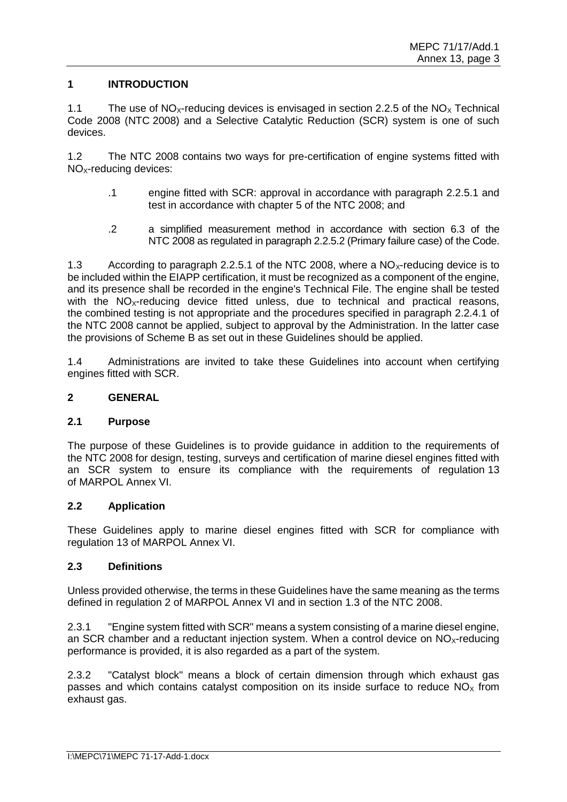# **1 INTRODUCTION**

1.1 The use of  $NO<sub>X</sub>$ -reducing devices is envisaged in section 2.2.5 of the  $NO<sub>X</sub>$  Technical Code 2008 (NTC 2008) and a Selective Catalytic Reduction (SCR) system is one of such devices.

1.2 The NTC 2008 contains two ways for pre-certification of engine systems fitted with NO<sub>x</sub>-reducing devices:

- .1 engine fitted with SCR: approval in accordance with paragraph 2.2.5.1 and test in accordance with chapter 5 of the NTC 2008; and
- .2 a simplified measurement method in accordance with section 6.3 of the NTC 2008 as regulated in paragraph 2.2.5.2 (Primary failure case) of the Code.

1.3 According to paragraph 2.2.5.1 of the NTC 2008, where a  $NO<sub>x</sub>$ -reducing device is to be included within the EIAPP certification, it must be recognized as a component of the engine, and its presence shall be recorded in the engine's Technical File. The engine shall be tested with the  $NO<sub>x</sub>$ -reducing device fitted unless, due to technical and practical reasons, the combined testing is not appropriate and the procedures specified in paragraph 2.2.4.1 of the NTC 2008 cannot be applied, subject to approval by the Administration. In the latter case the provisions of Scheme B as set out in these Guidelines should be applied.

1.4 Administrations are invited to take these Guidelines into account when certifying engines fitted with SCR.

# **2 GENERAL**

### **2.1 Purpose**

The purpose of these Guidelines is to provide guidance in addition to the requirements of the NTC 2008 for design, testing, surveys and certification of marine diesel engines fitted with an SCR system to ensure its compliance with the requirements of regulation 13 of MARPOL Annex VI.

#### **2.2 Application**

These Guidelines apply to marine diesel engines fitted with SCR for compliance with regulation 13 of MARPOL Annex VI.

### **2.3 Definitions**

Unless provided otherwise, the terms in these Guidelines have the same meaning as the terms defined in regulation 2 of MARPOL Annex VI and in section 1.3 of the NTC 2008.

2.3.1 "Engine system fitted with SCR" means a system consisting of a marine diesel engine, an SCR chamber and a reductant injection system. When a control device on  $NO<sub>X</sub>$ -reducing performance is provided, it is also regarded as a part of the system.

2.3.2 "Catalyst block" means a block of certain dimension through which exhaust gas passes and which contains catalyst composition on its inside surface to reduce  $NO<sub>x</sub>$  from exhaust gas.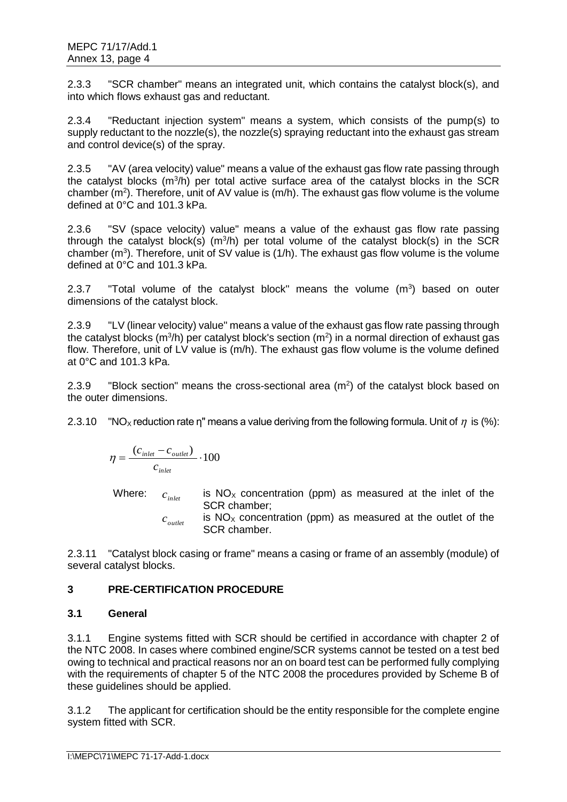2.3.3 "SCR chamber" means an integrated unit, which contains the catalyst block(s), and into which flows exhaust gas and reductant.

2.3.4 "Reductant injection system" means a system, which consists of the pump(s) to supply reductant to the nozzle(s), the nozzle(s) spraying reductant into the exhaust gas stream and control device(s) of the spray.

2.3.5 "AV (area velocity) value" means a value of the exhaust gas flow rate passing through the catalyst blocks  $(m^3/h)$  per total active surface area of the catalyst blocks in the SCR chamber ( $m^2$ ). Therefore, unit of AV value is ( $m/h$ ). The exhaust gas flow volume is the volume defined at 0°C and 101.3 kPa.

2.3.6 "SV (space velocity) value" means a value of the exhaust gas flow rate passing through the catalyst block(s)  $(m^3/h)$  per total volume of the catalyst block(s) in the SCR chamber ( $m^3$ ). Therefore, unit of SV value is (1/h). The exhaust gas flow volume is the volume defined at 0°C and 101.3 kPa.

2.3.7  $\text{Total volume of the catalyst block}$  means the volume  $(m^3)$  based on outer dimensions of the catalyst block.

2.3.9 "LV (linear velocity) value" means a value of the exhaust gas flow rate passing through the catalyst blocks (m<sup>3</sup>/h) per catalyst block's section (m<sup>2</sup>) in a normal direction of exhaust gas flow. Therefore, unit of LV value is (m/h). The exhaust gas flow volume is the volume defined at  $0^{\circ}$ C and 101.3 kPa.

2.3.9 "Block section" means the cross-sectional area  $(m^2)$  of the catalyst block based on the outer dimensions.

2.3.10 "NO<sub>X</sub> reduction rate η" means a value deriving from the following formula. Unit of  $\eta$  is (%):

$$
\eta = \frac{(c_{\text{inlet}} - c_{\text{outlet}})}{c_{\text{inlet}}} \cdot 100
$$

Where:  $c_{\textit{index}}$ is  $NO<sub>x</sub>$  concentration (ppm) as measured at the inlet of the SCR chamber;

 $c_{\textit{outlet}}$ is  $NO<sub>x</sub>$  concentration (ppm) as measured at the outlet of the SCR chamber.

2.3.11 "Catalyst block casing or frame" means a casing or frame of an assembly (module) of several catalyst blocks.

# **3 PRE-CERTIFICATION PROCEDURE**

# **3.1 General**

3.1.1 Engine systems fitted with SCR should be certified in accordance with chapter 2 of the NTC 2008. In cases where combined engine/SCR systems cannot be tested on a test bed owing to technical and practical reasons nor an on board test can be performed fully complying with the requirements of chapter 5 of the NTC 2008 the procedures provided by Scheme B of these guidelines should be applied.

3.1.2 The applicant for certification should be the entity responsible for the complete engine system fitted with SCR.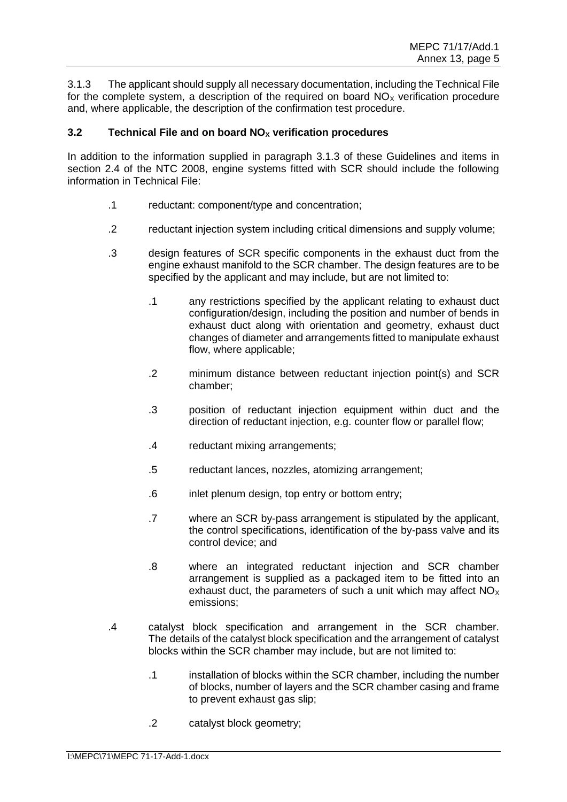3.1.3 The applicant should supply all necessary documentation, including the Technical File for the complete system, a description of the required on board  $NO<sub>x</sub>$  verification procedure and, where applicable, the description of the confirmation test procedure.

# **3.2 Technical File and on board NO<sup>X</sup> verification procedures**

In addition to the information supplied in paragraph 3.1.3 of these Guidelines and items in section 2.4 of the NTC 2008, engine systems fitted with SCR should include the following information in Technical File:

- .1 reductant: component/type and concentration;
- .2 reductant injection system including critical dimensions and supply volume;
- .3 design features of SCR specific components in the exhaust duct from the engine exhaust manifold to the SCR chamber. The design features are to be specified by the applicant and may include, but are not limited to:
	- .1 any restrictions specified by the applicant relating to exhaust duct configuration/design, including the position and number of bends in exhaust duct along with orientation and geometry, exhaust duct changes of diameter and arrangements fitted to manipulate exhaust flow, where applicable;
	- .2 minimum distance between reductant injection point(s) and SCR chamber;
	- .3 position of reductant injection equipment within duct and the direction of reductant injection, e.g. counter flow or parallel flow;
	- .4 reductant mixing arrangements;
	- .5 reductant lances, nozzles, atomizing arrangement;
	- .6 inlet plenum design, top entry or bottom entry;
	- .7 where an SCR by-pass arrangement is stipulated by the applicant, the control specifications, identification of the by-pass valve and its control device; and
	- .8 where an integrated reductant injection and SCR chamber arrangement is supplied as a packaged item to be fitted into an exhaust duct, the parameters of such a unit which may affect  $NO<sub>x</sub>$ emissions;
- .4 catalyst block specification and arrangement in the SCR chamber. The details of the catalyst block specification and the arrangement of catalyst blocks within the SCR chamber may include, but are not limited to:
	- .1 installation of blocks within the SCR chamber, including the number of blocks, number of layers and the SCR chamber casing and frame to prevent exhaust gas slip;
	- .2 catalyst block geometry;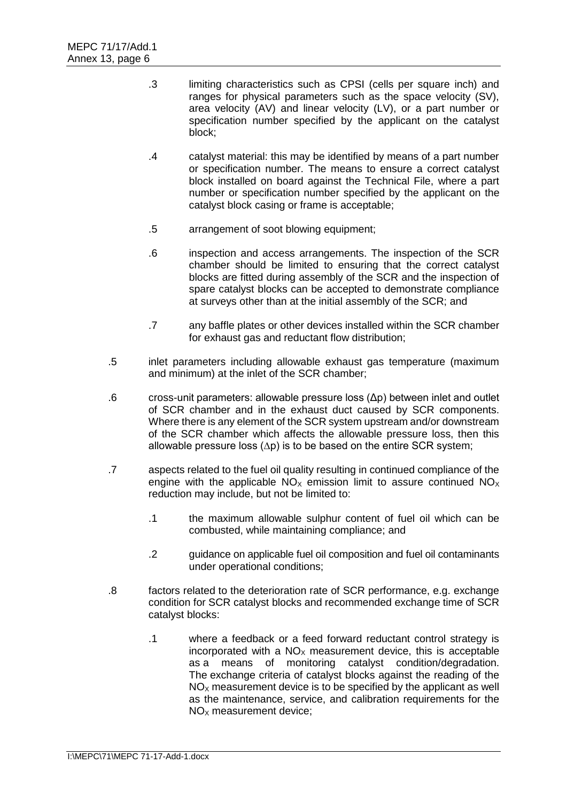- .3 limiting characteristics such as CPSI (cells per square inch) and ranges for physical parameters such as the space velocity (SV), area velocity (AV) and linear velocity (LV), or a part number or specification number specified by the applicant on the catalyst block;
- .4 catalyst material: this may be identified by means of a part number or specification number. The means to ensure a correct catalyst block installed on board against the Technical File, where a part number or specification number specified by the applicant on the catalyst block casing or frame is acceptable;
- .5 arrangement of soot blowing equipment;
- .6 inspection and access arrangements. The inspection of the SCR chamber should be limited to ensuring that the correct catalyst blocks are fitted during assembly of the SCR and the inspection of spare catalyst blocks can be accepted to demonstrate compliance at surveys other than at the initial assembly of the SCR; and
- .7 any baffle plates or other devices installed within the SCR chamber for exhaust gas and reductant flow distribution;
- .5 inlet parameters including allowable exhaust gas temperature (maximum and minimum) at the inlet of the SCR chamber;
- .6 cross-unit parameters: allowable pressure loss (Δp) between inlet and outlet of SCR chamber and in the exhaust duct caused by SCR components. Where there is any element of the SCR system upstream and/or downstream of the SCR chamber which affects the allowable pressure loss, then this allowable pressure loss (∆p) is to be based on the entire SCR system;
- .7 aspects related to the fuel oil quality resulting in continued compliance of the engine with the applicable  $NO<sub>x</sub>$  emission limit to assure continued  $NO<sub>x</sub>$ reduction may include, but not be limited to:
	- .1 the maximum allowable sulphur content of fuel oil which can be combusted, while maintaining compliance; and
	- .2 guidance on applicable fuel oil composition and fuel oil contaminants under operational conditions;
- .8 factors related to the deterioration rate of SCR performance, e.g. exchange condition for SCR catalyst blocks and recommended exchange time of SCR catalyst blocks:
	- .1 where a feedback or a feed forward reductant control strategy is incorporated with a  $NO<sub>x</sub>$  measurement device, this is acceptable as a means of monitoring catalyst condition/degradation. The exchange criteria of catalyst blocks against the reading of the  $NO<sub>x</sub>$  measurement device is to be specified by the applicant as well as the maintenance, service, and calibration requirements for the  $NO<sub>x</sub>$  measurement device: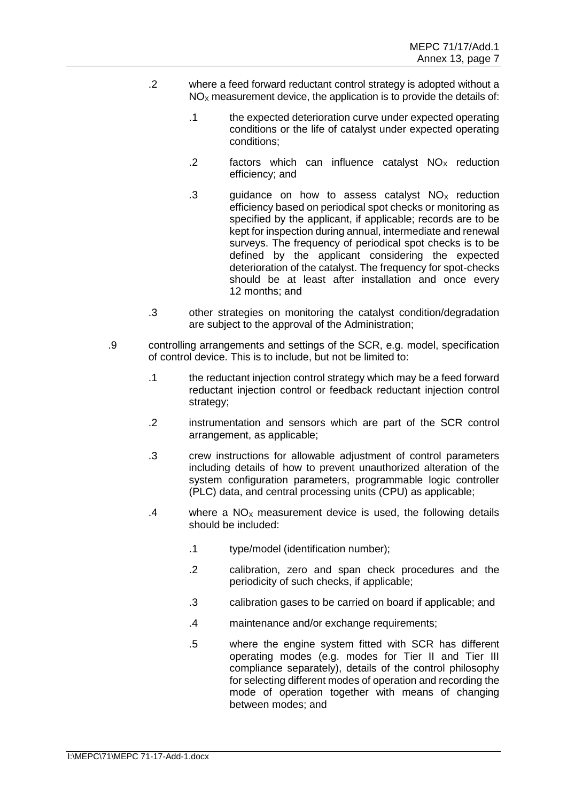- .2 where a feed forward reductant control strategy is adopted without a  $NO<sub>x</sub>$  measurement device, the application is to provide the details of:
	- .1 the expected deterioration curve under expected operating conditions or the life of catalyst under expected operating conditions;
	- .2 factors which can influence catalyst  $NO<sub>x</sub>$  reduction efficiency; and
	- .3 guidance on how to assess catalyst  $NO<sub>x</sub>$  reduction efficiency based on periodical spot checks or monitoring as specified by the applicant, if applicable; records are to be kept for inspection during annual, intermediate and renewal surveys. The frequency of periodical spot checks is to be defined by the applicant considering the expected deterioration of the catalyst. The frequency for spot-checks should be at least after installation and once every 12 months; and
- .3 other strategies on monitoring the catalyst condition/degradation are subject to the approval of the Administration;
- .9 controlling arrangements and settings of the SCR, e.g. model, specification of control device. This is to include, but not be limited to:
	- .1 the reductant injection control strategy which may be a feed forward reductant injection control or feedback reductant injection control strategy;
	- .2 instrumentation and sensors which are part of the SCR control arrangement, as applicable;
	- .3 crew instructions for allowable adjustment of control parameters including details of how to prevent unauthorized alteration of the system configuration parameters, programmable logic controller (PLC) data, and central processing units (CPU) as applicable;
	- $.4$  where a NO<sub>x</sub> measurement device is used, the following details should be included:
		- .1 type/model (identification number);
		- .2 calibration, zero and span check procedures and the periodicity of such checks, if applicable;
		- .3 calibration gases to be carried on board if applicable; and
		- .4 maintenance and/or exchange requirements;
		- .5 where the engine system fitted with SCR has different operating modes (e.g. modes for Tier II and Tier III compliance separately), details of the control philosophy for selecting different modes of operation and recording the mode of operation together with means of changing between modes; and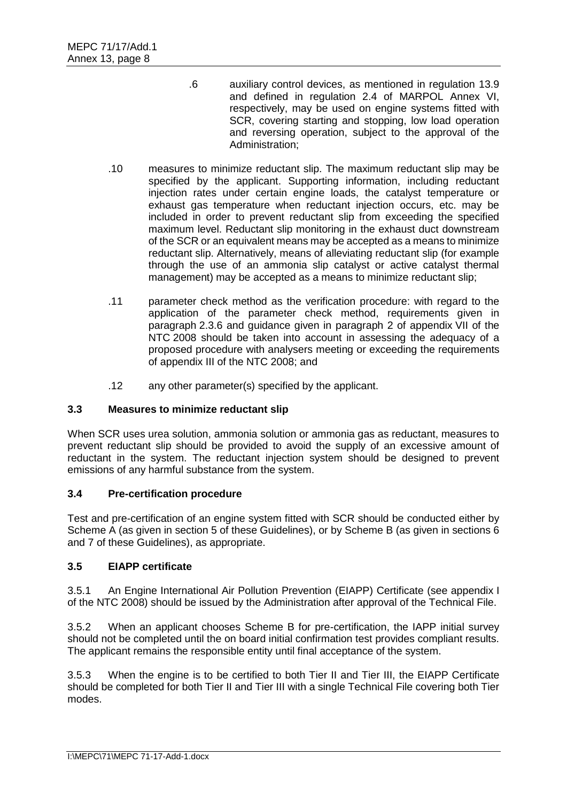- .6 auxiliary control devices, as mentioned in regulation 13.9 and defined in regulation 2.4 of MARPOL Annex VI, respectively, may be used on engine systems fitted with SCR, covering starting and stopping, low load operation and reversing operation, subject to the approval of the Administration;
- .10 measures to minimize reductant slip. The maximum reductant slip may be specified by the applicant. Supporting information, including reductant injection rates under certain engine loads, the catalyst temperature or exhaust gas temperature when reductant injection occurs, etc. may be included in order to prevent reductant slip from exceeding the specified maximum level. Reductant slip monitoring in the exhaust duct downstream of the SCR or an equivalent means may be accepted as a means to minimize reductant slip. Alternatively, means of alleviating reductant slip (for example through the use of an ammonia slip catalyst or active catalyst thermal management) may be accepted as a means to minimize reductant slip;
- .11 parameter check method as the verification procedure: with regard to the application of the parameter check method, requirements given in paragraph 2.3.6 and guidance given in paragraph 2 of appendix VII of the NTC 2008 should be taken into account in assessing the adequacy of a proposed procedure with analysers meeting or exceeding the requirements of appendix III of the NTC 2008; and
- .12 any other parameter(s) specified by the applicant.

# **3.3 Measures to minimize reductant slip**

When SCR uses urea solution, ammonia solution or ammonia gas as reductant, measures to prevent reductant slip should be provided to avoid the supply of an excessive amount of reductant in the system. The reductant injection system should be designed to prevent emissions of any harmful substance from the system.

# **3.4 Pre-certification procedure**

Test and pre-certification of an engine system fitted with SCR should be conducted either by Scheme A (as given in section 5 of these Guidelines), or by Scheme B (as given in sections 6 and 7 of these Guidelines), as appropriate.

# **3.5 EIAPP certificate**

3.5.1 An Engine International Air Pollution Prevention (EIAPP) Certificate (see appendix I of the NTC 2008) should be issued by the Administration after approval of the Technical File.

3.5.2 When an applicant chooses Scheme B for pre-certification, the IAPP initial survey should not be completed until the on board initial confirmation test provides compliant results. The applicant remains the responsible entity until final acceptance of the system.

3.5.3 When the engine is to be certified to both Tier II and Tier III, the EIAPP Certificate should be completed for both Tier II and Tier III with a single Technical File covering both Tier modes.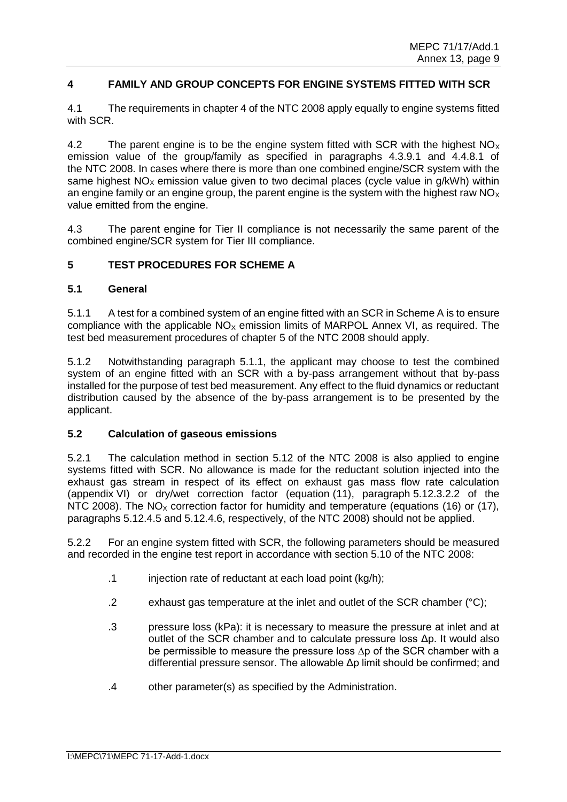# **4 FAMILY AND GROUP CONCEPTS FOR ENGINE SYSTEMS FITTED WITH SCR**

4.1 The requirements in chapter 4 of the NTC 2008 apply equally to engine systems fitted with SCR.

4.2 The parent engine is to be the engine system fitted with SCR with the highest  $NO<sub>X</sub>$ emission value of the group/family as specified in paragraphs 4.3.9.1 and 4.4.8.1 of the NTC 2008. In cases where there is more than one combined engine/SCR system with the same highest  $NO<sub>x</sub>$  emission value given to two decimal places (cycle value in g/kWh) within an engine family or an engine group, the parent engine is the system with the highest raw  $NO<sub>x</sub>$ value emitted from the engine.

4.3 The parent engine for Tier II compliance is not necessarily the same parent of the combined engine/SCR system for Tier III compliance.

# **5 TEST PROCEDURES FOR SCHEME A**

### **5.1 General**

5.1.1 A test for a combined system of an engine fitted with an SCR in Scheme A is to ensure compliance with the applicable  $NO<sub>x</sub>$  emission limits of MARPOL Annex VI, as required. The test bed measurement procedures of chapter 5 of the NTC 2008 should apply.

5.1.2 Notwithstanding paragraph 5.1.1, the applicant may choose to test the combined system of an engine fitted with an SCR with a by-pass arrangement without that by-pass installed for the purpose of test bed measurement. Any effect to the fluid dynamics or reductant distribution caused by the absence of the by-pass arrangement is to be presented by the applicant.

### **5.2 Calculation of gaseous emissions**

5.2.1 The calculation method in section 5.12 of the NTC 2008 is also applied to engine systems fitted with SCR. No allowance is made for the reductant solution injected into the exhaust gas stream in respect of its effect on exhaust gas mass flow rate calculation (appendix VI) or dry/wet correction factor (equation (11), paragraph 5.12.3.2.2 of the NTC 2008). The NO<sub>x</sub> correction factor for humidity and temperature (equations (16) or (17), paragraphs 5.12.4.5 and 5.12.4.6, respectively, of the NTC 2008) should not be applied.

5.2.2 For an engine system fitted with SCR, the following parameters should be measured and recorded in the engine test report in accordance with section 5.10 of the NTC 2008:

- .1 injection rate of reductant at each load point (kg/h);
- .2 exhaust gas temperature at the inlet and outlet of the SCR chamber (°C);
- .3 pressure loss (kPa): it is necessary to measure the pressure at inlet and at outlet of the SCR chamber and to calculate pressure loss Δp. It would also be permissible to measure the pressure loss ∆p of the SCR chamber with a differential pressure sensor. The allowable Δp limit should be confirmed; and
- .4 other parameter(s) as specified by the Administration.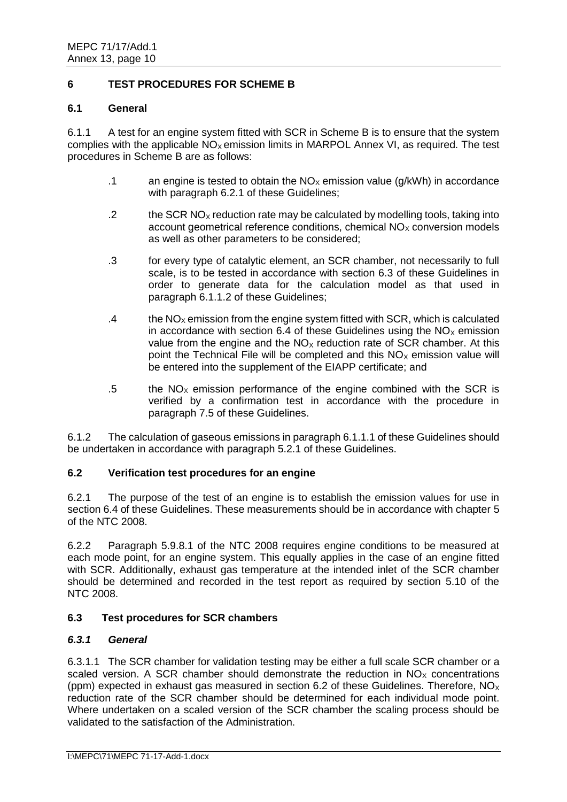# **6 TEST PROCEDURES FOR SCHEME B**

### **6.1 General**

6.1.1 A test for an engine system fitted with SCR in Scheme B is to ensure that the system complies with the applicable  $NO<sub>x</sub>$  emission limits in MARPOL Annex VI, as required. The test procedures in Scheme B are as follows:

- .1 an engine is tested to obtain the  $NO<sub>x</sub>$  emission value (g/kWh) in accordance with paragraph 6.2.1 of these Guidelines;
- .2 the SCR NO<sub>x</sub> reduction rate may be calculated by modelling tools, taking into account geometrical reference conditions, chemical  $NO<sub>x</sub>$  conversion models as well as other parameters to be considered;
- .3 for every type of catalytic element, an SCR chamber, not necessarily to full scale, is to be tested in accordance with section 6.3 of these Guidelines in order to generate data for the calculation model as that used in paragraph 6.1.1.2 of these Guidelines;
- .4 the  $NO<sub>x</sub>$  emission from the engine system fitted with SCR, which is calculated in accordance with section 6.4 of these Guidelines using the  $NO<sub>x</sub>$  emission value from the engine and the  $NO<sub>X</sub>$  reduction rate of SCR chamber. At this point the Technical File will be completed and this  $NO<sub>x</sub>$  emission value will be entered into the supplement of the EIAPP certificate; and
- .5 the  $NO<sub>x</sub>$  emission performance of the engine combined with the SCR is verified by a confirmation test in accordance with the procedure in paragraph 7.5 of these Guidelines.

6.1.2 The calculation of gaseous emissions in paragraph 6.1.1.1 of these Guidelines should be undertaken in accordance with paragraph 5.2.1 of these Guidelines.

# **6.2 Verification test procedures for an engine**

6.2.1 The purpose of the test of an engine is to establish the emission values for use in section 6.4 of these Guidelines. These measurements should be in accordance with chapter 5 of the NTC 2008.

6.2.2 Paragraph 5.9.8.1 of the NTC 2008 requires engine conditions to be measured at each mode point, for an engine system. This equally applies in the case of an engine fitted with SCR. Additionally, exhaust gas temperature at the intended inlet of the SCR chamber should be determined and recorded in the test report as required by section 5.10 of the NTC 2008.

# **6.3 Test procedures for SCR chambers**

# *6.3.1 General*

6.3.1.1 The SCR chamber for validation testing may be either a full scale SCR chamber or a scaled version. A SCR chamber should demonstrate the reduction in  $NO<sub>x</sub>$  concentrations (ppm) expected in exhaust gas measured in section 6.2 of these Guidelines. Therefore,  $NO<sub>x</sub>$ reduction rate of the SCR chamber should be determined for each individual mode point. Where undertaken on a scaled version of the SCR chamber the scaling process should be validated to the satisfaction of the Administration.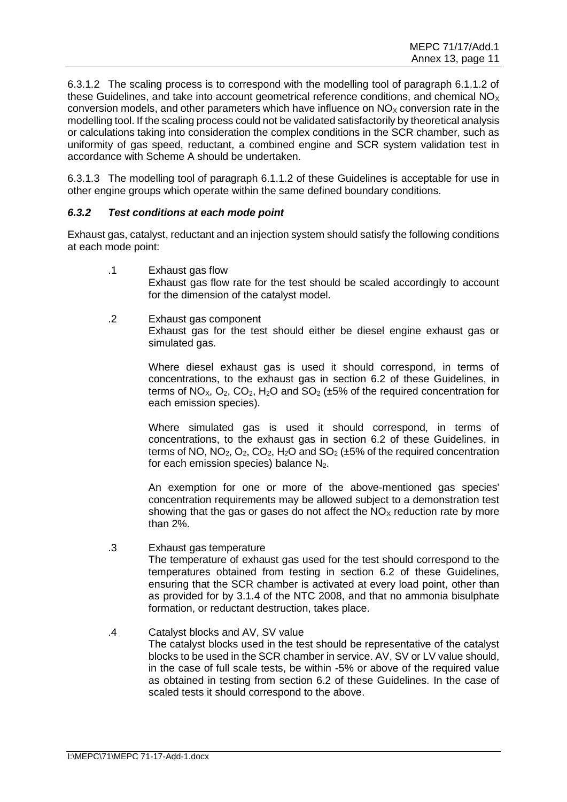6.3.1.2 The scaling process is to correspond with the modelling tool of paragraph 6.1.1.2 of these Guidelines, and take into account geometrical reference conditions, and chemical  $NO<sub>x</sub>$ conversion models, and other parameters which have influence on  $NO<sub>X</sub>$  conversion rate in the modelling tool. If the scaling process could not be validated satisfactorily by theoretical analysis or calculations taking into consideration the complex conditions in the SCR chamber, such as uniformity of gas speed, reductant, a combined engine and SCR system validation test in accordance with Scheme A should be undertaken.

6.3.1.3 The modelling tool of paragraph 6.1.1.2 of these Guidelines is acceptable for use in other engine groups which operate within the same defined boundary conditions.

# *6.3.2 Test conditions at each mode point*

Exhaust gas, catalyst, reductant and an injection system should satisfy the following conditions at each mode point:

- .1 Exhaust gas flow Exhaust gas flow rate for the test should be scaled accordingly to account for the dimension of the catalyst model.
- .2 Exhaust gas component Exhaust gas for the test should either be diesel engine exhaust gas or simulated gas.

Where diesel exhaust gas is used it should correspond, in terms of concentrations, to the exhaust gas in section 6.2 of these Guidelines, in terms of NO<sub>x</sub>, O<sub>2</sub>, CO<sub>2</sub>, H<sub>2</sub>O and SO<sub>2</sub> ( $\pm$ 5% of the required concentration for each emission species).

Where simulated gas is used it should correspond, in terms of concentrations, to the exhaust gas in section 6.2 of these Guidelines, in terms of NO,  $NO_2$ ,  $O_2$ ,  $CO_2$ ,  $H_2O$  and  $SO_2$  ( $\pm 5\%$  of the required concentration for each emission species) balance  $N_2$ .

An exemption for one or more of the above-mentioned gas species' concentration requirements may be allowed subject to a demonstration test showing that the gas or gases do not affect the  $NO<sub>x</sub>$  reduction rate by more than 2%.

# .3 Exhaust gas temperature

The temperature of exhaust gas used for the test should correspond to the temperatures obtained from testing in section 6.2 of these Guidelines, ensuring that the SCR chamber is activated at every load point, other than as provided for by 3.1.4 of the NTC 2008, and that no ammonia bisulphate formation, or reductant destruction, takes place.

.4 Catalyst blocks and AV, SV value The catalyst blocks used in the test should be representative of the catalyst blocks to be used in the SCR chamber in service. AV, SV or LV value should, in the case of full scale tests, be within -5% or above of the required value as obtained in testing from section 6.2 of these Guidelines. In the case of scaled tests it should correspond to the above.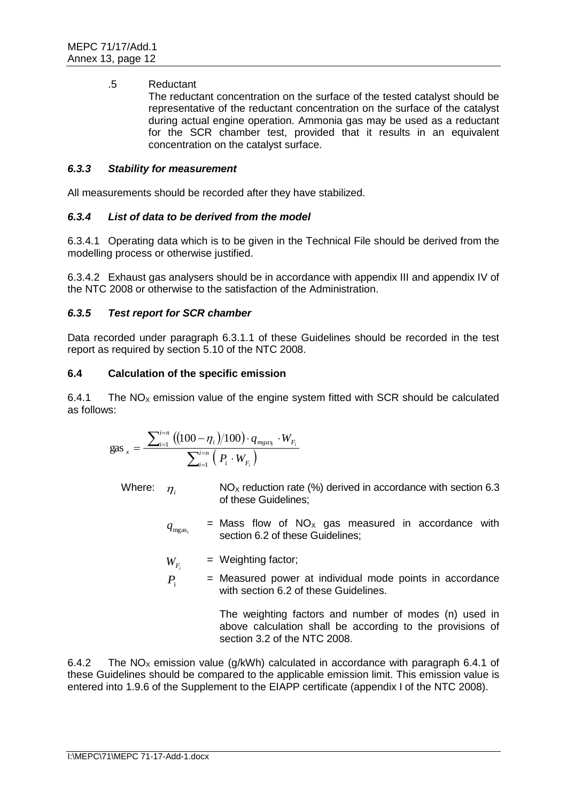### .5 Reductant

The reductant concentration on the surface of the tested catalyst should be representative of the reductant concentration on the surface of the catalyst during actual engine operation. Ammonia gas may be used as a reductant for the SCR chamber test, provided that it results in an equivalent concentration on the catalyst surface.

### *6.3.3 Stability for measurement*

All measurements should be recorded after they have stabilized.

# *6.3.4 List of data to be derived from the model*

6.3.4.1 Operating data which is to be given in the Technical File should be derived from the modelling process or otherwise justified.

6.3.4.2 Exhaust gas analysers should be in accordance with appendix III and appendix IV of the NTC 2008 or otherwise to the satisfaction of the Administration.

# *6.3.5 Test report for SCR chamber*

Data recorded under paragraph 6.3.1.1 of these Guidelines should be recorded in the test report as required by section 5.10 of the NTC 2008.

# **6.4 Calculation of the specific emission**

6.4.1 The  $NO<sub>x</sub>$  emission value of the engine system fitted with SCR should be calculated as follows:

gas 
$$
_{x} = \frac{\sum_{i=1}^{i=n} ((100 - \eta_{i})/100) \cdot q_{mgas_{i}} \cdot W_{F_{i}}}{\sum_{i=1}^{i=n} (P_{i} \cdot W_{F_{i}})}
$$

Where:  $\eta_i$ 

- $NO<sub>x</sub>$  reduction rate (%) derived in accordance with section 6.3 of these Guidelines;
- $q_{\rm meas}$  $=$  Mass flow of NO<sub>x</sub> gas measured in accordance with section 6.2 of these Guidelines;
- $W_{F_i}$ = Weighting factor;
- $P_i$ = Measured power at individual mode points in accordance with section 6.2 of these Guidelines.

The weighting factors and number of modes (n) used in above calculation shall be according to the provisions of section 3.2 of the NTC 2008.

6.4.2 The NO<sub>x</sub> emission value (g/kWh) calculated in accordance with paragraph 6.4.1 of these Guidelines should be compared to the applicable emission limit. This emission value is entered into 1.9.6 of the Supplement to the EIAPP certificate (appendix I of the NTC 2008).